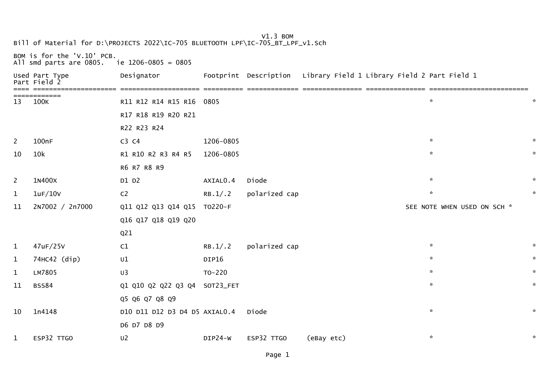## V1.3 BOMBill of Material for D:\PROJECTS 2022\IC-705 BLUETOOTH LPF\IC-705\_BT\_LPF\_v1.Sch

BOM is for the 'V.10' PCB. All smd parts are 0805. ie 1206-0805 = 0805

| Part           | Used Part Type<br>Field | Designator                    |           | Footprint Description | Library Field 1 Library Field 2 Part Field 1 |                             |
|----------------|-------------------------|-------------------------------|-----------|-----------------------|----------------------------------------------|-----------------------------|
| 13             | 100K                    | R11 R12 R14 R15 R16 0805      |           |                       | $\mathcal{R}$                                | $\sim$                      |
|                |                         | R17 R18 R19 R20 R21           |           |                       |                                              |                             |
|                |                         | R22 R23 R24                   |           |                       |                                              |                             |
| 2              | 100nF                   | C3 C4                         | 1206-0805 |                       | $\sim$                                       | $\sim$                      |
| 10             | 10k                     | R1 R10 R2 R3 R4 R5            | 1206-0805 |                       | $\mathbf{x}$                                 | $\mathcal{H}$               |
|                |                         | R6 R7 R8 R9                   |           |                       |                                              |                             |
| $\overline{2}$ | 1N400X                  | D1 D2                         | AXIALO.4  | Diode                 | $\sim$                                       | $\mathcal{H}$               |
| $\mathbf{1}$   | 1uF/10V                 | C <sub>2</sub>                | RB.1/.2   | polarized cap         | $\kappa$                                     | $\mathcal{R}$               |
| 11             | 2N7002 / 2n7000         | Q11 Q12 Q13 Q14 Q15 T0220-F   |           |                       |                                              | SEE NOTE WHEN USED ON SCH * |
|                |                         | Q16 Q17 Q18 Q19 Q20           |           |                       |                                              |                             |
|                |                         | Q <sub>21</sub>               |           |                       |                                              |                             |
| $\mathbf{1}$   | 47uF/25V                | C1                            | RB.1/.2   | polarized cap         | $\sim$                                       | $\sim$                      |
| $\mathbf{1}$   | 74HC42 (dip)            | U1                            | DIP16     |                       | $\mathbf{x}$                                 | $\mathbf{x}$                |
| $\mathbf{1}$   | LM7805                  | U <sub>3</sub>                | TO-220    |                       | $\mathcal{R}$                                | $\mathcal{H}$               |
| 11             | <b>BSS84</b>            | Q1 Q10 Q2 Q22 Q3 Q4 SOT23_FET |           |                       | $\mathbf{x}$                                 | $\mathbf{x}$                |
|                |                         | Q5 Q6 Q7 Q8 Q9                |           |                       |                                              |                             |
| 10             | 1n4148                  | D10 D11 D12 D3 D4 D5 AXIAL0.4 |           | Diode                 | $\sim$                                       | $\mathcal{R}$               |
|                |                         | D6 D7 D8 D9                   |           |                       |                                              |                             |
| $\mathbf{1}$   | ESP32 TTGO              | U <sub>2</sub>                | DIP24-W   | ESP32 TTGO            | $\kappa$<br>(eBay etc)                       | $\mathcal{R}$               |